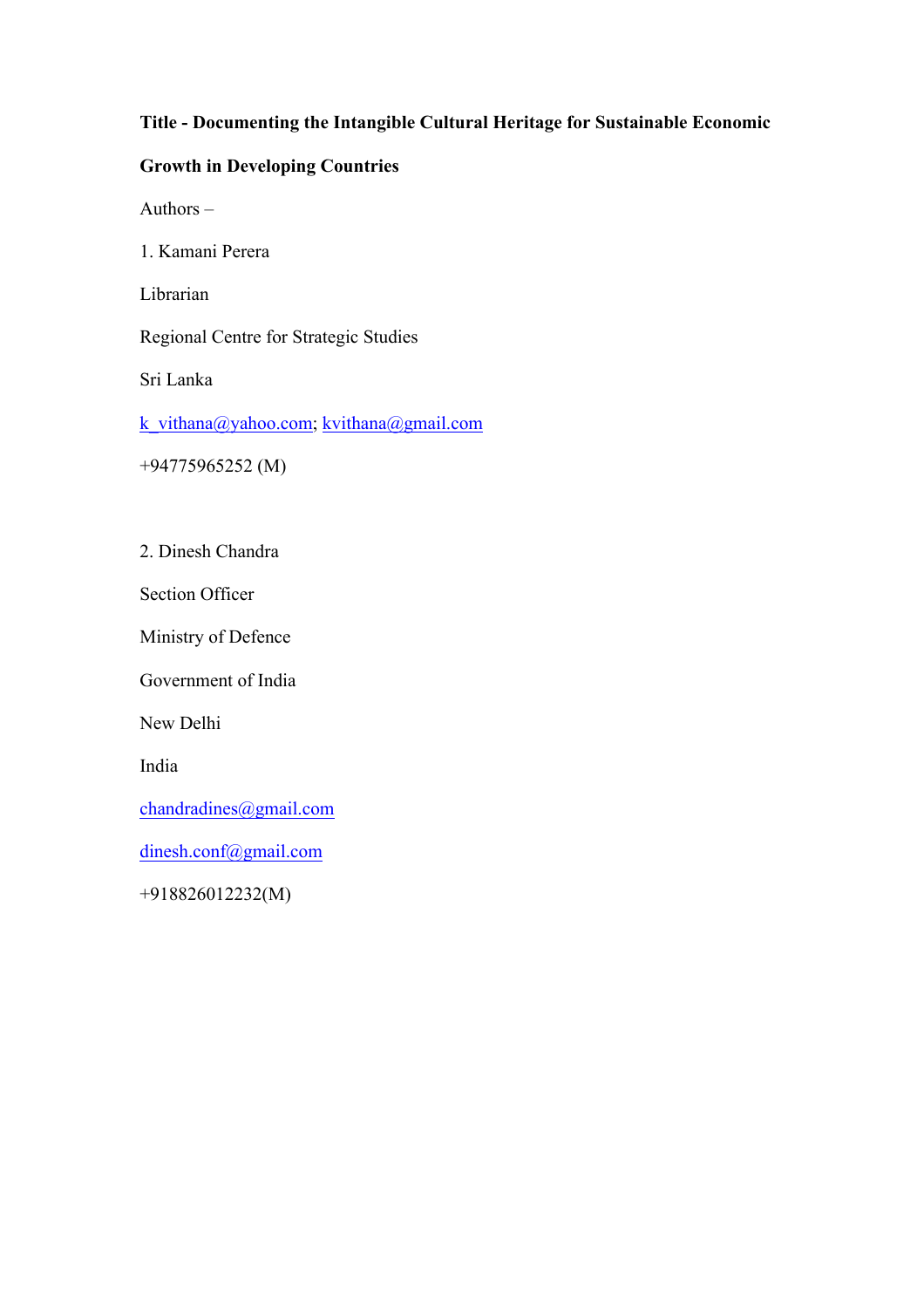## **Title - Documenting the Intangible Cultural Heritage for Sustainable Economic**

# **Growth in Developing Countries**

Authors –

1. Kamani Perera

Librarian

Regional Centre for Strategic Studies

Sri Lanka

k\_vithana@yahoo.com; kvithana@gmail.com

+94775965252 (M)

2. Dinesh Chandra

Section Officer

Ministry of Defence

Government of India

New Delhi

India

chandradines@gmail.com

dinesh.conf@gmail.com

+918826012232(M)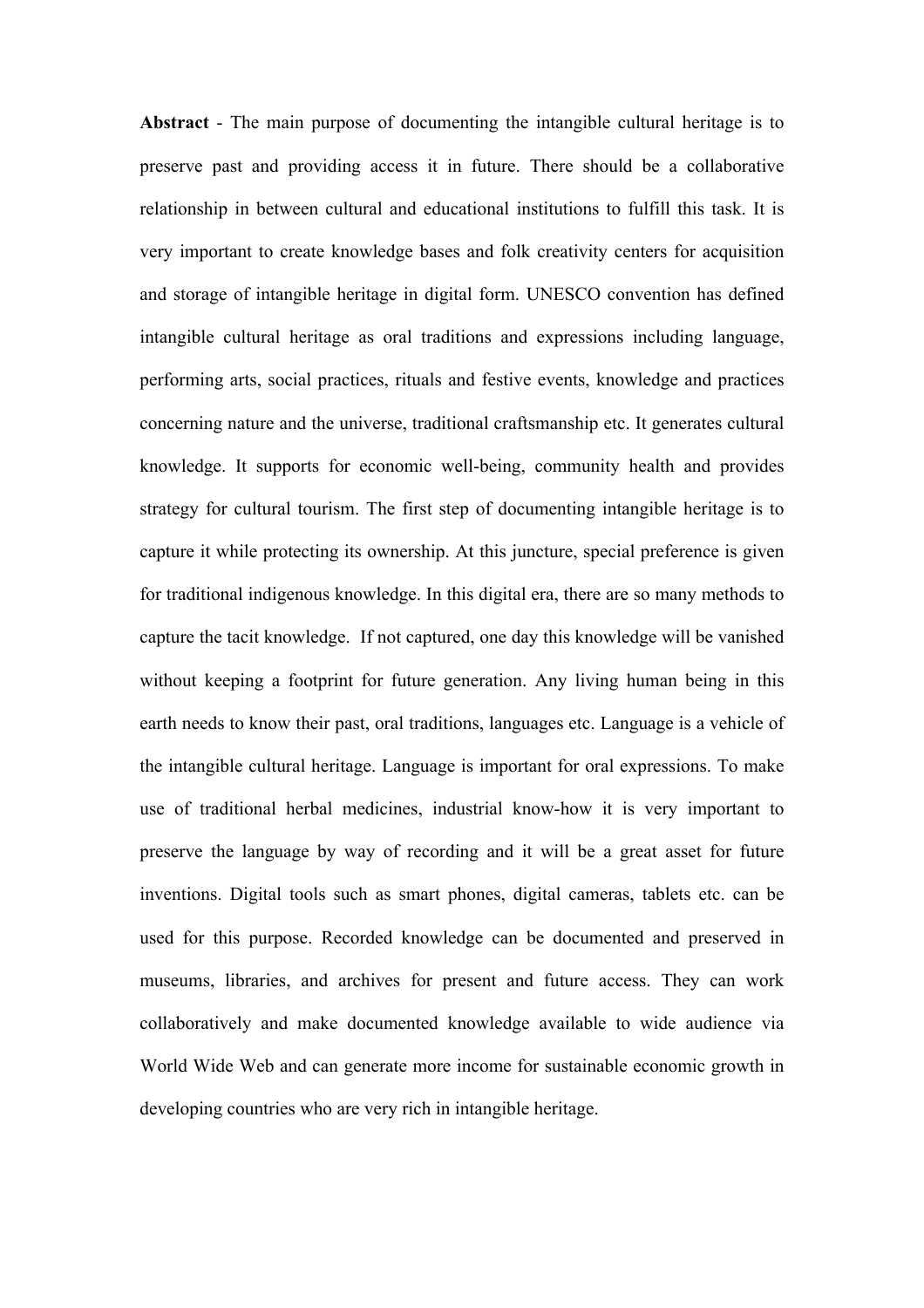**Abstract** - The main purpose of documenting the intangible cultural heritage is to preserve past and providing access it in future. There should be a collaborative relationship in between cultural and educational institutions to fulfill this task. It is very important to create knowledge bases and folk creativity centers for acquisition and storage of intangible heritage in digital form. UNESCO convention has defined intangible cultural heritage as oral traditions and expressions including language, performing arts, social practices, rituals and festive events, knowledge and practices concerning nature and the universe, traditional craftsmanship etc. It generates cultural knowledge. It supports for economic well-being, community health and provides strategy for cultural tourism. The first step of documenting intangible heritage is to capture it while protecting its ownership. At this juncture, special preference is given for traditional indigenous knowledge. In this digital era, there are so many methods to capture the tacit knowledge. If not captured, one day this knowledge will be vanished without keeping a footprint for future generation. Any living human being in this earth needs to know their past, oral traditions, languages etc. Language is a vehicle of the intangible cultural heritage. Language is important for oral expressions. To make use of traditional herbal medicines, industrial know-how it is very important to preserve the language by way of recording and it will be a great asset for future inventions. Digital tools such as smart phones, digital cameras, tablets etc. can be used for this purpose. Recorded knowledge can be documented and preserved in museums, libraries, and archives for present and future access. They can work collaboratively and make documented knowledge available to wide audience via World Wide Web and can generate more income for sustainable economic growth in developing countries who are very rich in intangible heritage.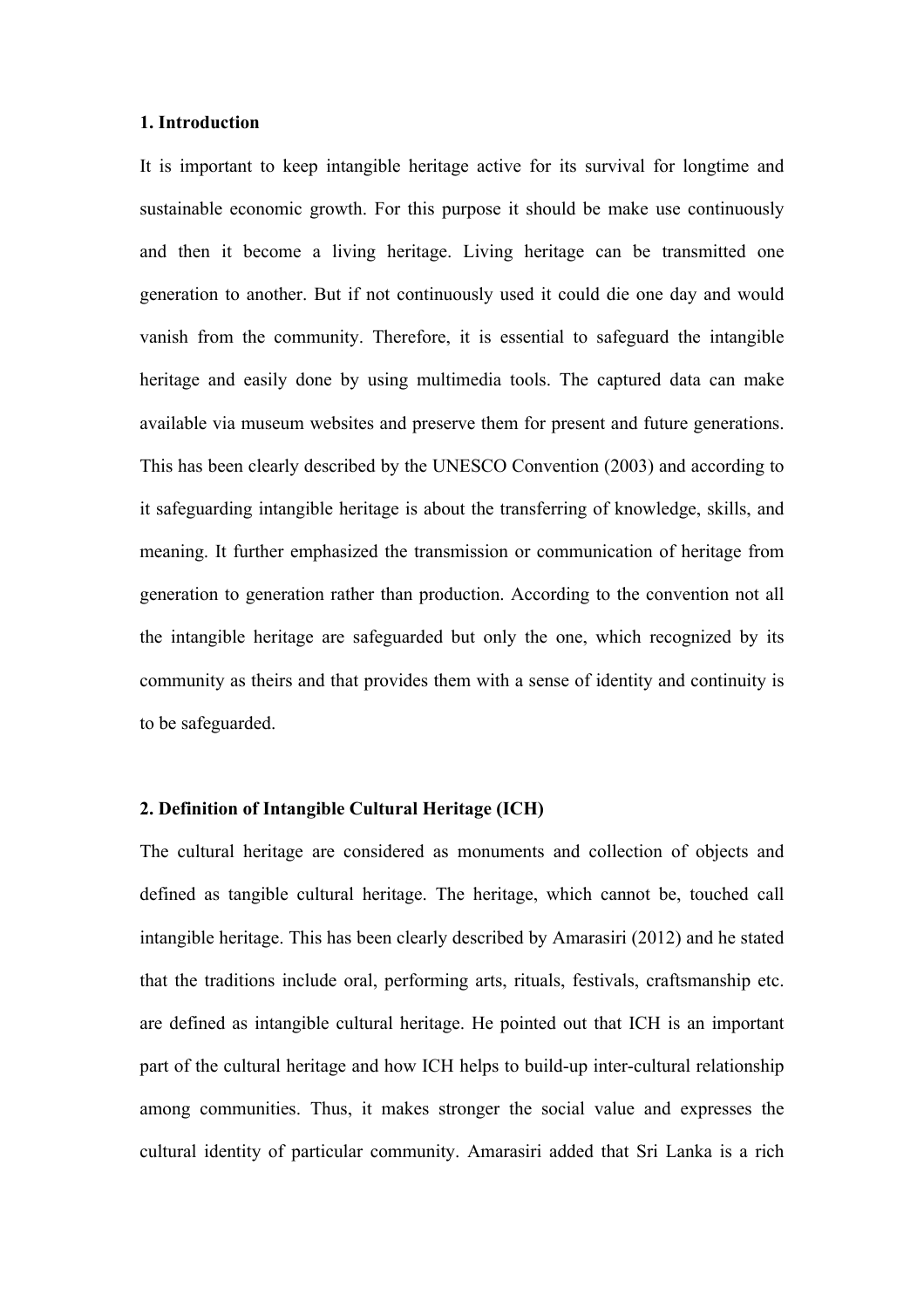#### **1. Introduction**

It is important to keep intangible heritage active for its survival for longtime and sustainable economic growth. For this purpose it should be make use continuously and then it become a living heritage. Living heritage can be transmitted one generation to another. But if not continuously used it could die one day and would vanish from the community. Therefore, it is essential to safeguard the intangible heritage and easily done by using multimedia tools. The captured data can make available via museum websites and preserve them for present and future generations. This has been clearly described by the UNESCO Convention (2003) and according to it safeguarding intangible heritage is about the transferring of knowledge, skills, and meaning. It further emphasized the transmission or communication of heritage from generation to generation rather than production. According to the convention not all the intangible heritage are safeguarded but only the one, which recognized by its community as theirs and that provides them with a sense of identity and continuity is to be safeguarded.

## **2. Definition of Intangible Cultural Heritage (ICH)**

The cultural heritage are considered as monuments and collection of objects and defined as tangible cultural heritage. The heritage, which cannot be, touched call intangible heritage. This has been clearly described by Amarasiri (2012) and he stated that the traditions include oral, performing arts, rituals, festivals, craftsmanship etc. are defined as intangible cultural heritage. He pointed out that ICH is an important part of the cultural heritage and how ICH helps to build-up inter-cultural relationship among communities. Thus, it makes stronger the social value and expresses the cultural identity of particular community. Amarasiri added that Sri Lanka is a rich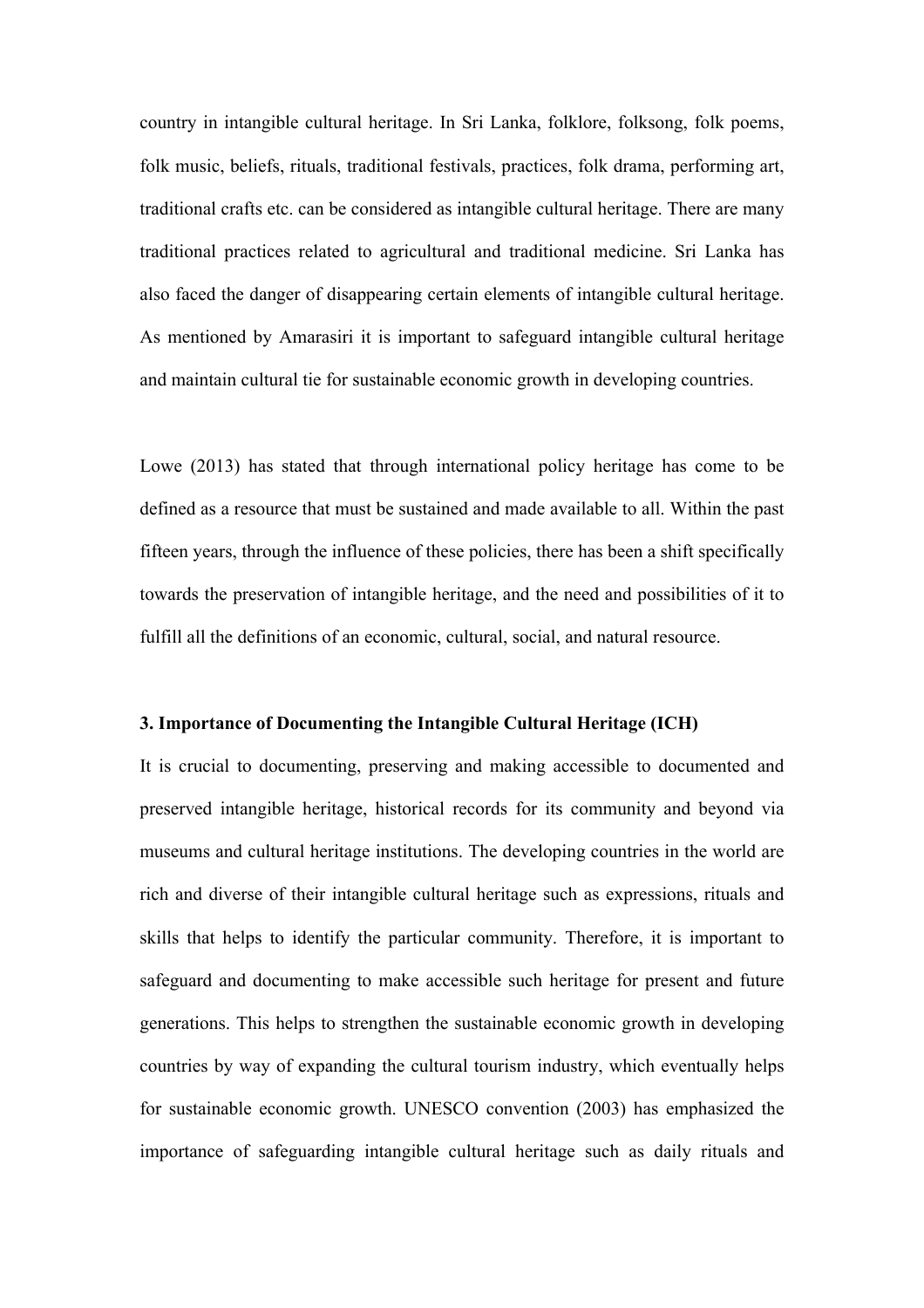country in intangible cultural heritage. In Sri Lanka, folklore, folksong, folk poems, folk music, beliefs, rituals, traditional festivals, practices, folk drama, performing art, traditional crafts etc. can be considered as intangible cultural heritage. There are many traditional practices related to agricultural and traditional medicine. Sri Lanka has also faced the danger of disappearing certain elements of intangible cultural heritage. As mentioned by Amarasiri it is important to safeguard intangible cultural heritage and maintain cultural tie for sustainable economic growth in developing countries.

Lowe (2013) has stated that through international policy heritage has come to be defined as a resource that must be sustained and made available to all. Within the past fifteen years, through the influence of these policies, there has been a shift specifically towards the preservation of intangible heritage, and the need and possibilities of it to fulfill all the definitions of an economic, cultural, social, and natural resource.

#### **3. Importance of Documenting the Intangible Cultural Heritage (ICH)**

It is crucial to documenting, preserving and making accessible to documented and preserved intangible heritage, historical records for its community and beyond via museums and cultural heritage institutions. The developing countries in the world are rich and diverse of their intangible cultural heritage such as expressions, rituals and skills that helps to identify the particular community. Therefore, it is important to safeguard and documenting to make accessible such heritage for present and future generations. This helps to strengthen the sustainable economic growth in developing countries by way of expanding the cultural tourism industry, which eventually helps for sustainable economic growth. UNESCO convention (2003) has emphasized the importance of safeguarding intangible cultural heritage such as daily rituals and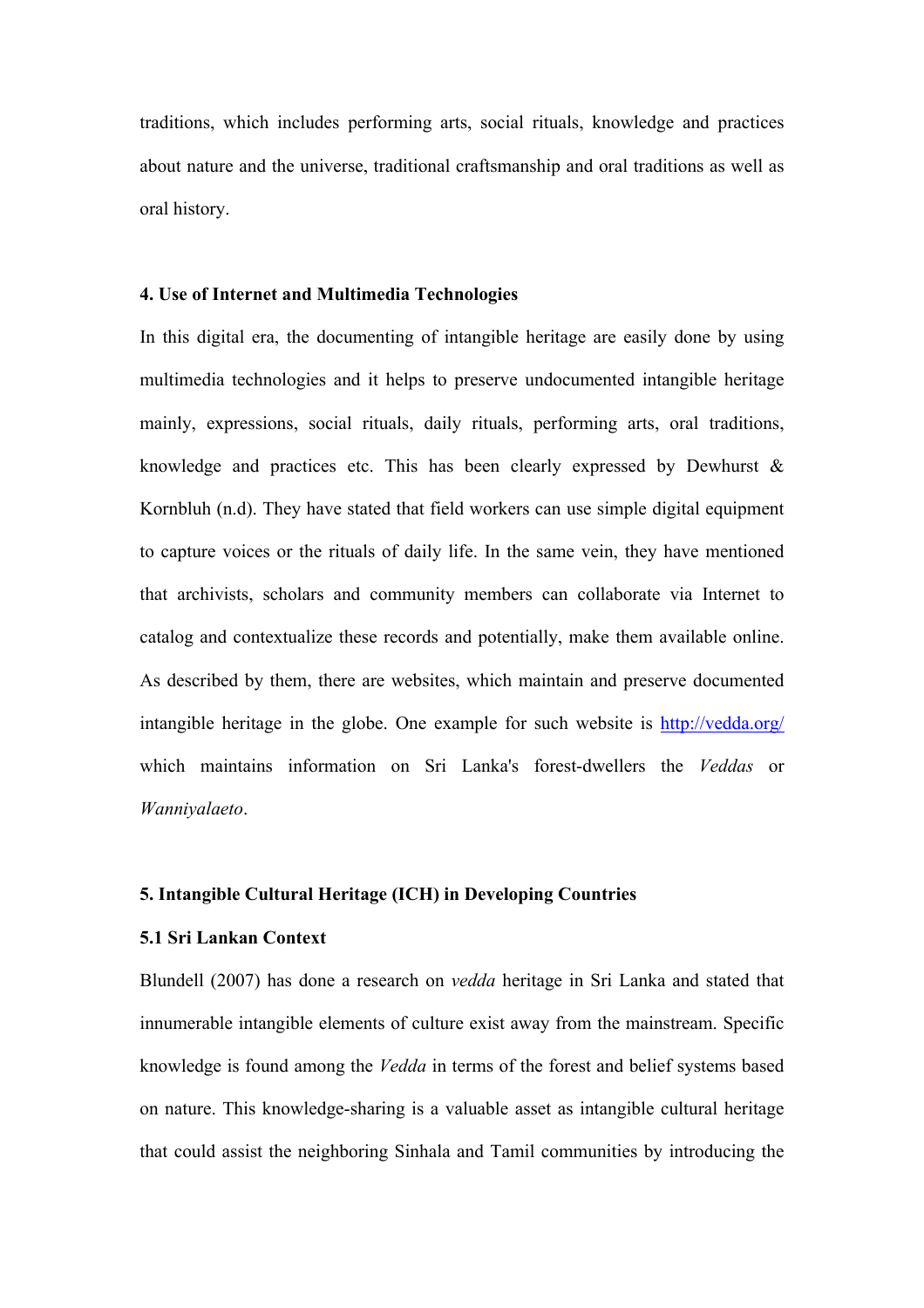traditions, which includes performing arts, social rituals, knowledge and practices about nature and the universe, traditional craftsmanship and oral traditions as well as oral history.

#### **4. Use of Internet and Multimedia Technologies**

In this digital era, the documenting of intangible heritage are easily done by using multimedia technologies and it helps to preserve undocumented intangible heritage mainly, expressions, social rituals, daily rituals, performing arts, oral traditions, knowledge and practices etc. This has been clearly expressed by Dewhurst  $\&$ Kornbluh (n.d). They have stated that field workers can use simple digital equipment to capture voices or the rituals of daily life. In the same vein, they have mentioned that archivists, scholars and community members can collaborate via Internet to catalog and contextualize these records and potentially, make them available online. As described by them, there are websites, which maintain and preserve documented intangible heritage in the globe. One example for such website is http://vedda.org/ which maintains information on Sri Lanka's forest-dwellers the *Veddas* or *Wanniyalaeto*.

#### **5. Intangible Cultural Heritage (ICH) in Developing Countries**

#### **5.1 Sri Lankan Context**

Blundell (2007) has done a research on *vedda* heritage in Sri Lanka and stated that innumerable intangible elements of culture exist away from the mainstream. Specific knowledge is found among the *Vedda* in terms of the forest and belief systems based on nature. This knowledge-sharing is a valuable asset as intangible cultural heritage that could assist the neighboring Sinhala and Tamil communities by introducing the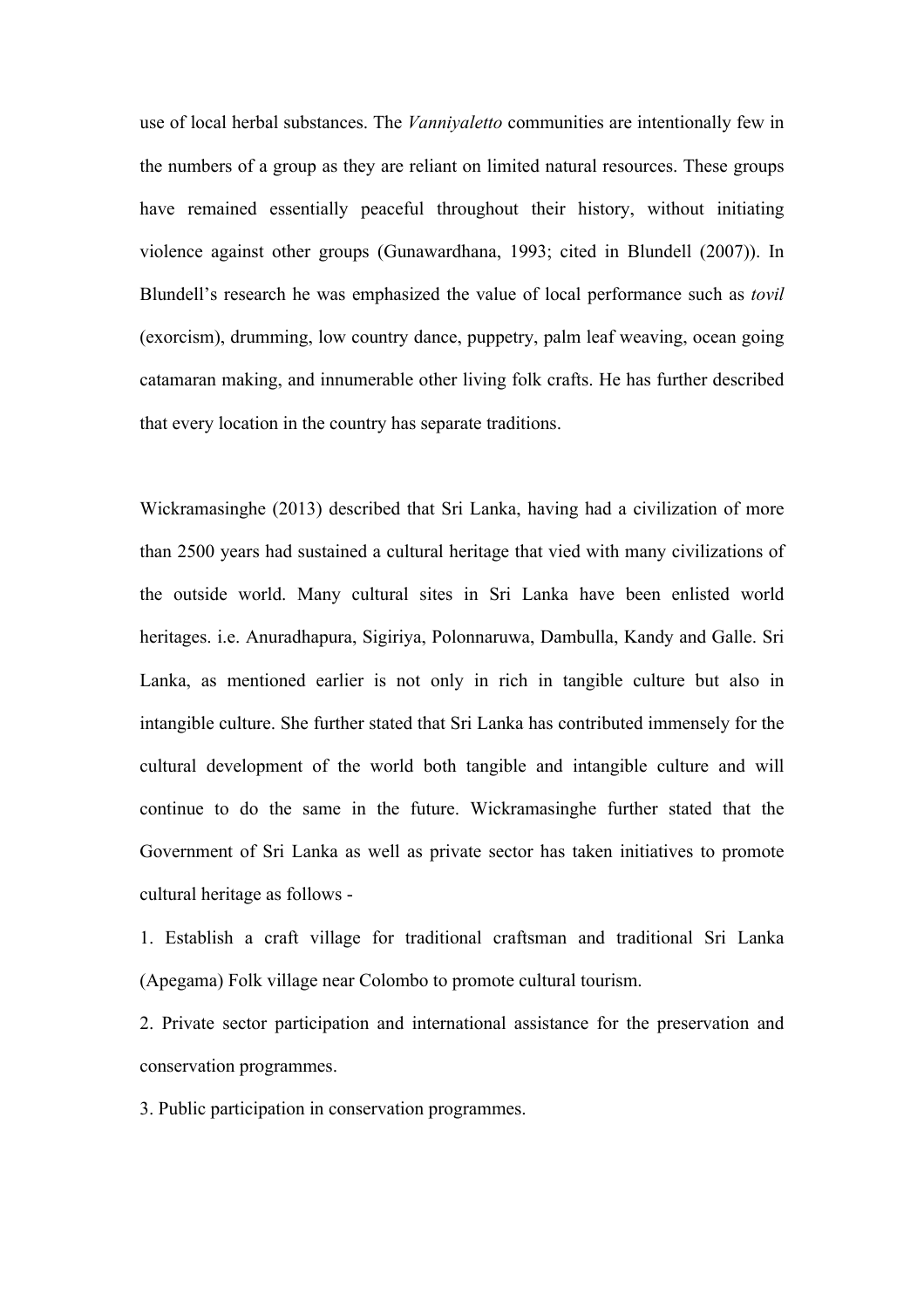use of local herbal substances. The *Vanniyaletto* communities are intentionally few in the numbers of a group as they are reliant on limited natural resources. These groups have remained essentially peaceful throughout their history, without initiating violence against other groups (Gunawardhana, 1993; cited in Blundell (2007)). In Blundell's research he was emphasized the value of local performance such as *tovil* (exorcism), drumming, low country dance, puppetry, palm leaf weaving, ocean going catamaran making, and innumerable other living folk crafts. He has further described that every location in the country has separate traditions.

Wickramasinghe (2013) described that Sri Lanka, having had a civilization of more than 2500 years had sustained a cultural heritage that vied with many civilizations of the outside world. Many cultural sites in Sri Lanka have been enlisted world heritages. i.e. Anuradhapura, Sigiriya, Polonnaruwa, Dambulla, Kandy and Galle. Sri Lanka, as mentioned earlier is not only in rich in tangible culture but also in intangible culture. She further stated that Sri Lanka has contributed immensely for the cultural development of the world both tangible and intangible culture and will continue to do the same in the future. Wickramasinghe further stated that the Government of Sri Lanka as well as private sector has taken initiatives to promote cultural heritage as follows -

1. Establish a craft village for traditional craftsman and traditional Sri Lanka (Apegama) Folk village near Colombo to promote cultural tourism.

2. Private sector participation and international assistance for the preservation and conservation programmes.

3. Public participation in conservation programmes.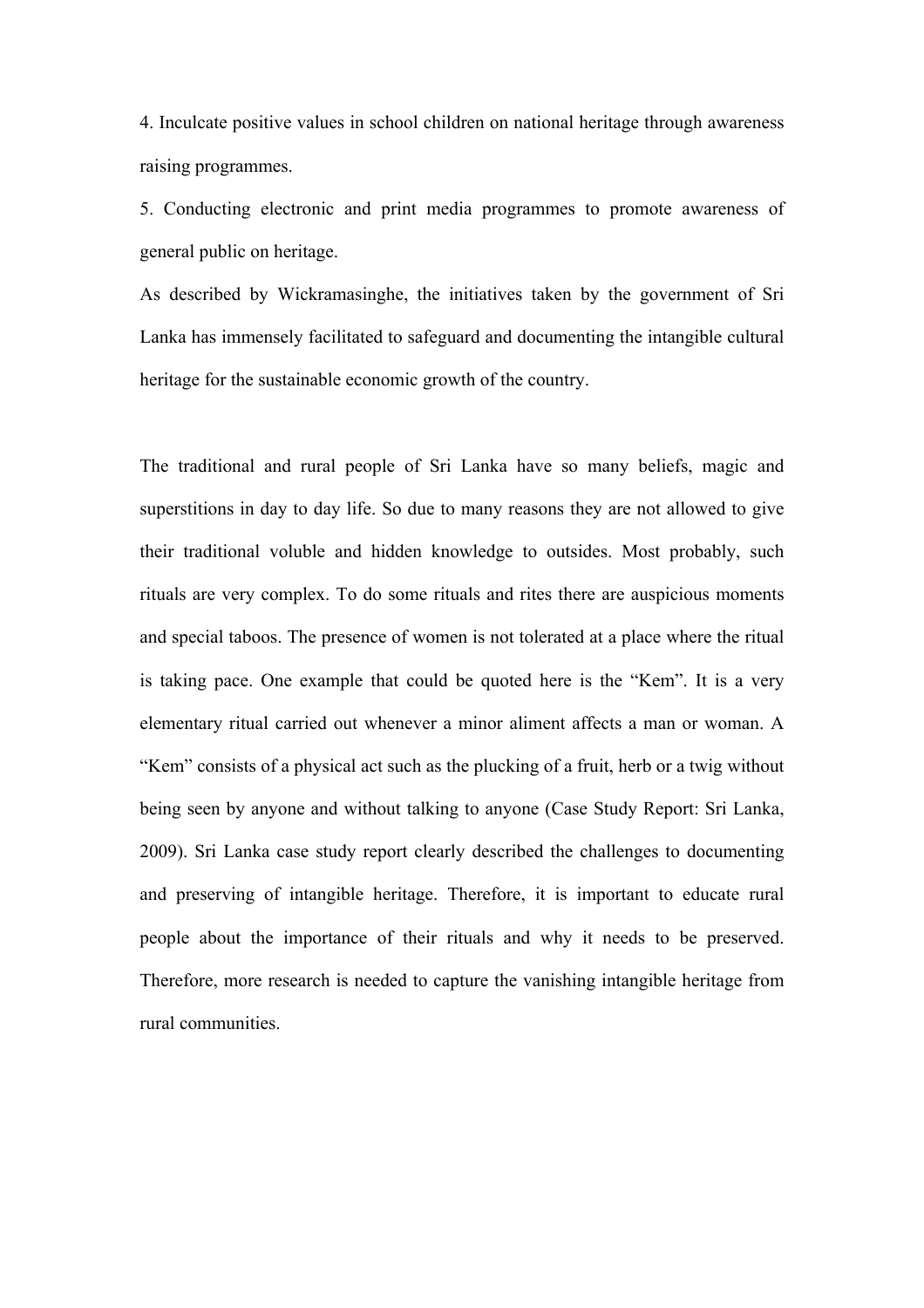4. Inculcate positive values in school children on national heritage through awareness raising programmes.

5. Conducting electronic and print media programmes to promote awareness of general public on heritage.

As described by Wickramasinghe, the initiatives taken by the government of Sri Lanka has immensely facilitated to safeguard and documenting the intangible cultural heritage for the sustainable economic growth of the country.

The traditional and rural people of Sri Lanka have so many beliefs, magic and superstitions in day to day life. So due to many reasons they are not allowed to give their traditional voluble and hidden knowledge to outsides. Most probably, such rituals are very complex. To do some rituals and rites there are auspicious moments and special taboos. The presence of women is not tolerated at a place where the ritual is taking pace. One example that could be quoted here is the "Kem". It is a very elementary ritual carried out whenever a minor aliment affects a man or woman. A "Kem" consists of a physical act such as the plucking of a fruit, herb or a twig without being seen by anyone and without talking to anyone (Case Study Report: Sri Lanka, 2009). Sri Lanka case study report clearly described the challenges to documenting and preserving of intangible heritage. Therefore, it is important to educate rural people about the importance of their rituals and why it needs to be preserved. Therefore, more research is needed to capture the vanishing intangible heritage from rural communities.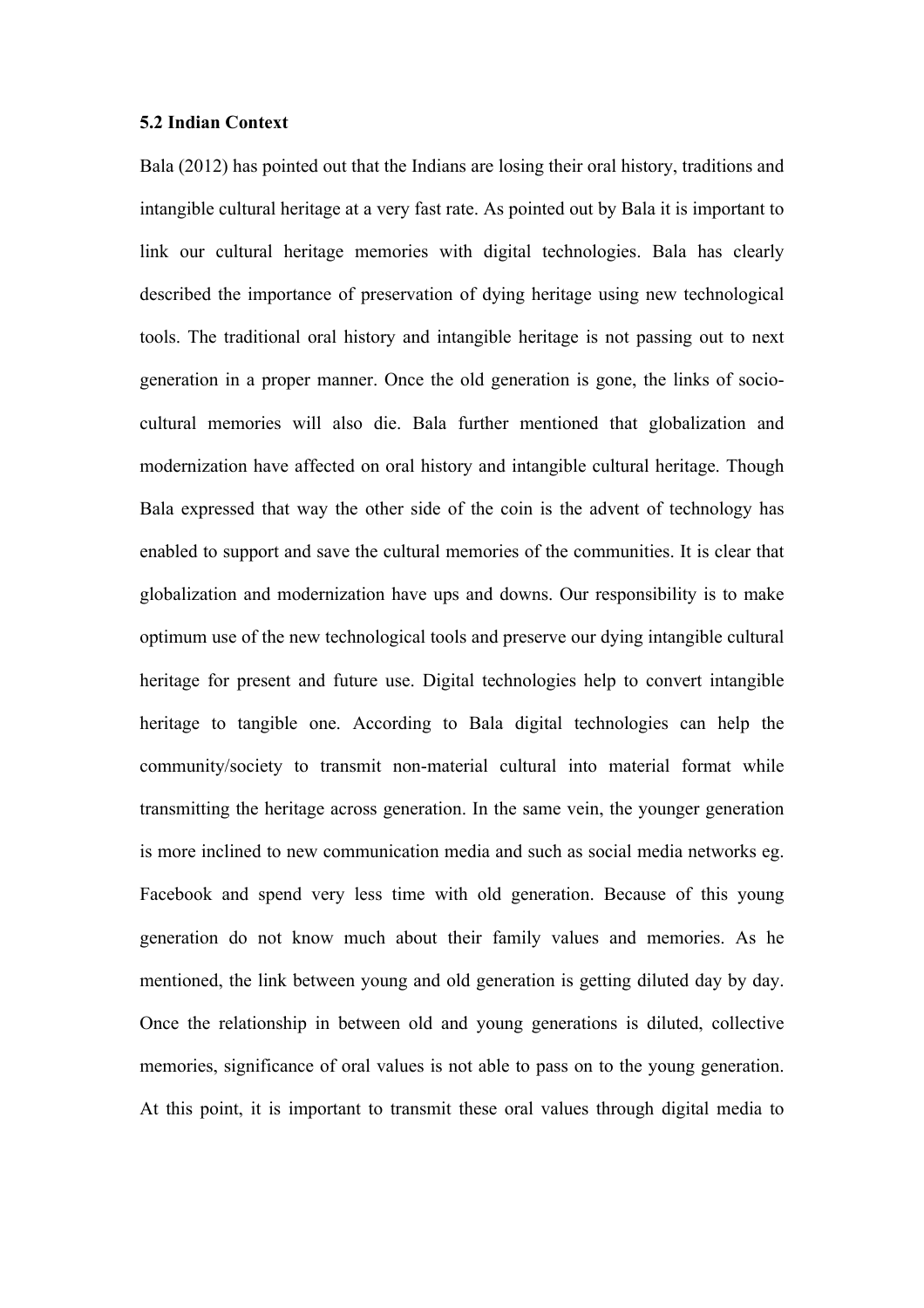#### **5.2 Indian Context**

Bala (2012) has pointed out that the Indians are losing their oral history, traditions and intangible cultural heritage at a very fast rate. As pointed out by Bala it is important to link our cultural heritage memories with digital technologies. Bala has clearly described the importance of preservation of dying heritage using new technological tools. The traditional oral history and intangible heritage is not passing out to next generation in a proper manner. Once the old generation is gone, the links of sociocultural memories will also die. Bala further mentioned that globalization and modernization have affected on oral history and intangible cultural heritage. Though Bala expressed that way the other side of the coin is the advent of technology has enabled to support and save the cultural memories of the communities. It is clear that globalization and modernization have ups and downs. Our responsibility is to make optimum use of the new technological tools and preserve our dying intangible cultural heritage for present and future use. Digital technologies help to convert intangible heritage to tangible one. According to Bala digital technologies can help the community/society to transmit non-material cultural into material format while transmitting the heritage across generation. In the same vein, the younger generation is more inclined to new communication media and such as social media networks eg. Facebook and spend very less time with old generation. Because of this young generation do not know much about their family values and memories. As he mentioned, the link between young and old generation is getting diluted day by day. Once the relationship in between old and young generations is diluted, collective memories, significance of oral values is not able to pass on to the young generation. At this point, it is important to transmit these oral values through digital media to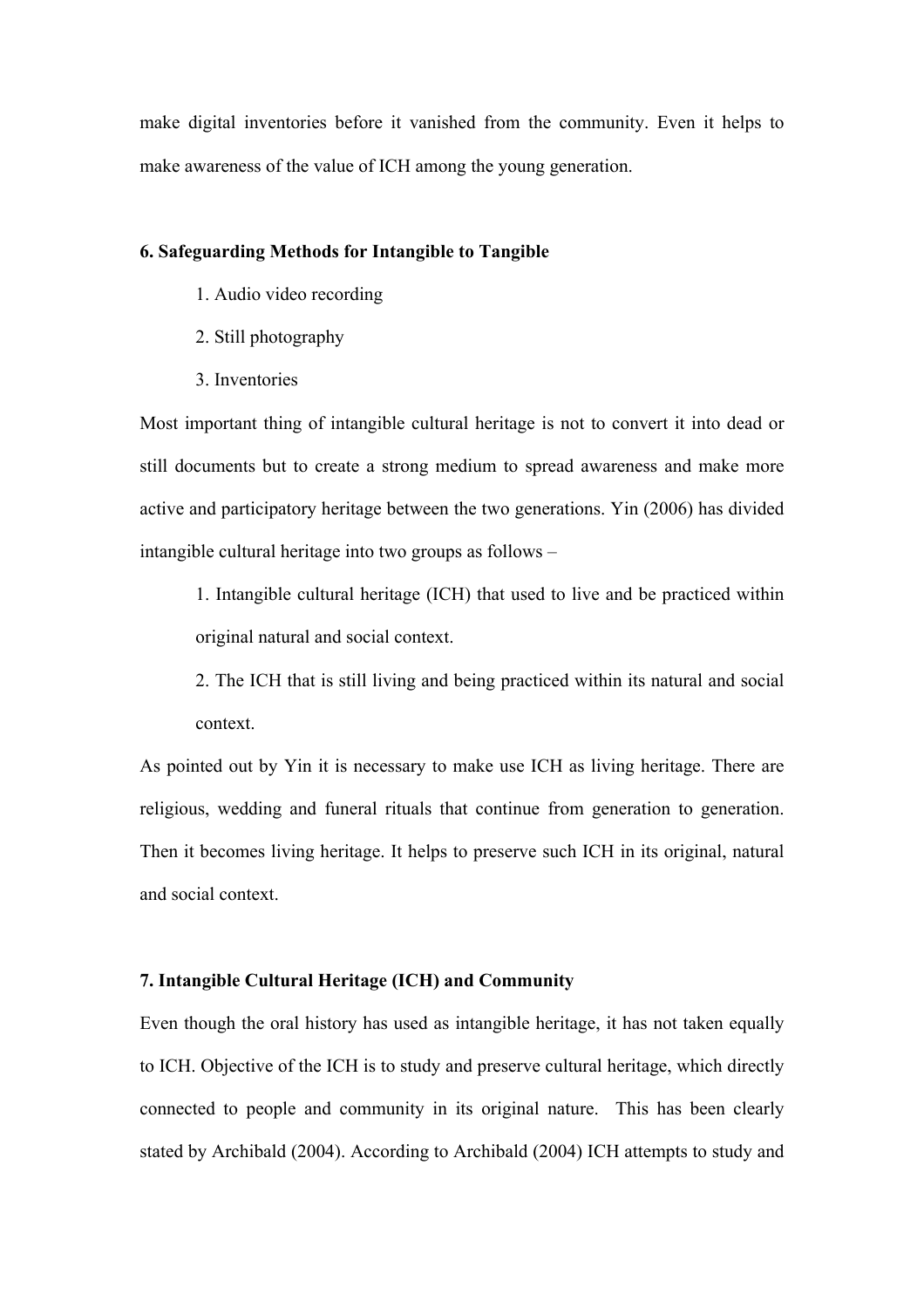make digital inventories before it vanished from the community. Even it helps to make awareness of the value of ICH among the young generation.

#### **6. Safeguarding Methods for Intangible to Tangible**

- 1. Audio video recording
- 2. Still photography
- 3. Inventories

Most important thing of intangible cultural heritage is not to convert it into dead or still documents but to create a strong medium to spread awareness and make more active and participatory heritage between the two generations. Yin (2006) has divided intangible cultural heritage into two groups as follows –

1. Intangible cultural heritage (ICH) that used to live and be practiced within original natural and social context.

2. The ICH that is still living and being practiced within its natural and social context.

As pointed out by Yin it is necessary to make use ICH as living heritage. There are religious, wedding and funeral rituals that continue from generation to generation. Then it becomes living heritage. It helps to preserve such ICH in its original, natural and social context.

### **7. Intangible Cultural Heritage (ICH) and Community**

Even though the oral history has used as intangible heritage, it has not taken equally to ICH. Objective of the ICH is to study and preserve cultural heritage, which directly connected to people and community in its original nature. This has been clearly stated by Archibald (2004). According to Archibald (2004) ICH attempts to study and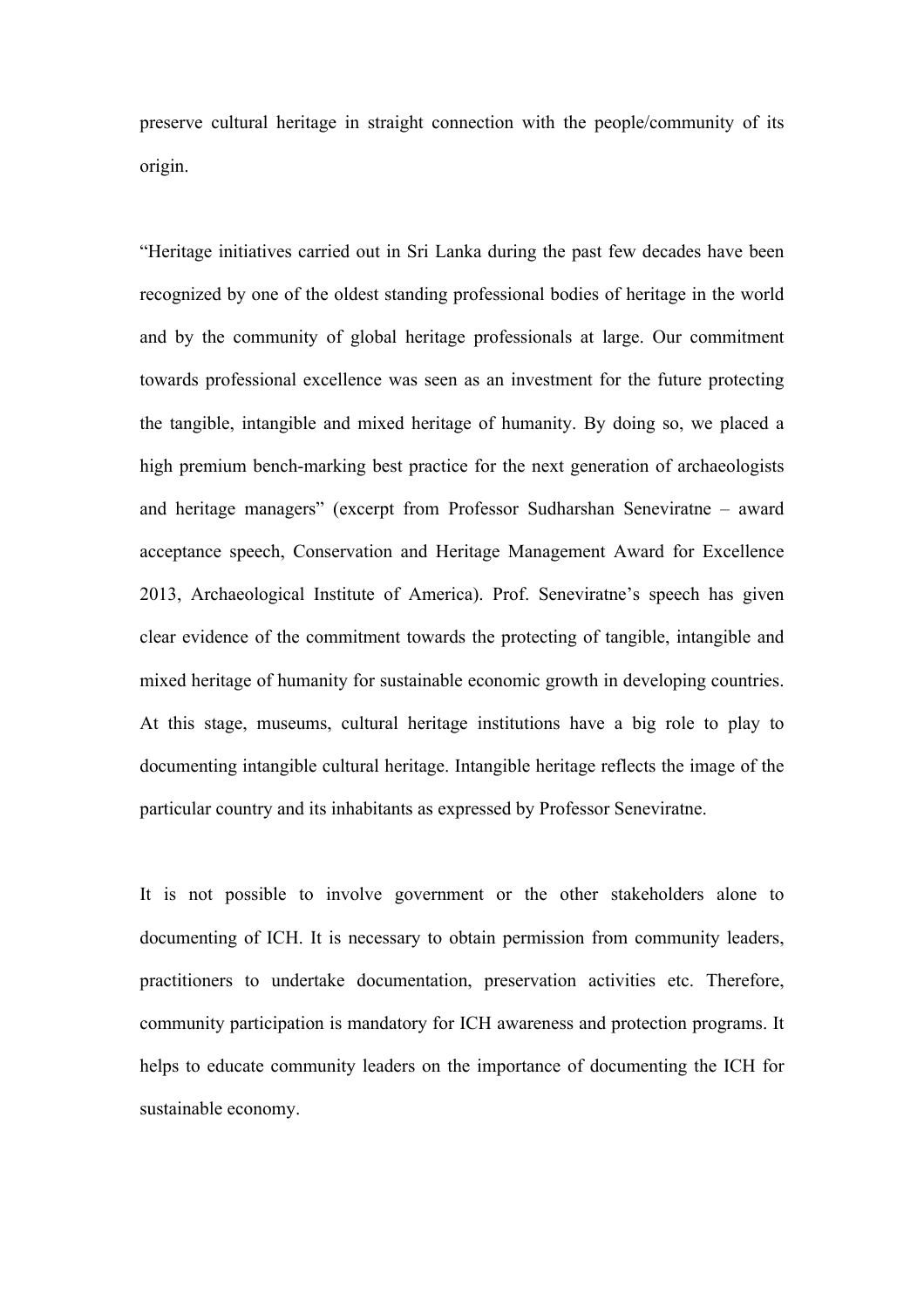preserve cultural heritage in straight connection with the people/community of its origin.

"Heritage initiatives carried out in Sri Lanka during the past few decades have been recognized by one of the oldest standing professional bodies of heritage in the world and by the community of global heritage professionals at large. Our commitment towards professional excellence was seen as an investment for the future protecting the tangible, intangible and mixed heritage of humanity. By doing so, we placed a high premium bench-marking best practice for the next generation of archaeologists and heritage managers" (excerpt from Professor Sudharshan Seneviratne – award acceptance speech, Conservation and Heritage Management Award for Excellence 2013, Archaeological Institute of America). Prof. Seneviratne's speech has given clear evidence of the commitment towards the protecting of tangible, intangible and mixed heritage of humanity for sustainable economic growth in developing countries. At this stage, museums, cultural heritage institutions have a big role to play to documenting intangible cultural heritage. Intangible heritage reflects the image of the particular country and its inhabitants as expressed by Professor Seneviratne.

It is not possible to involve government or the other stakeholders alone to documenting of ICH. It is necessary to obtain permission from community leaders, practitioners to undertake documentation, preservation activities etc. Therefore, community participation is mandatory for ICH awareness and protection programs. It helps to educate community leaders on the importance of documenting the ICH for sustainable economy.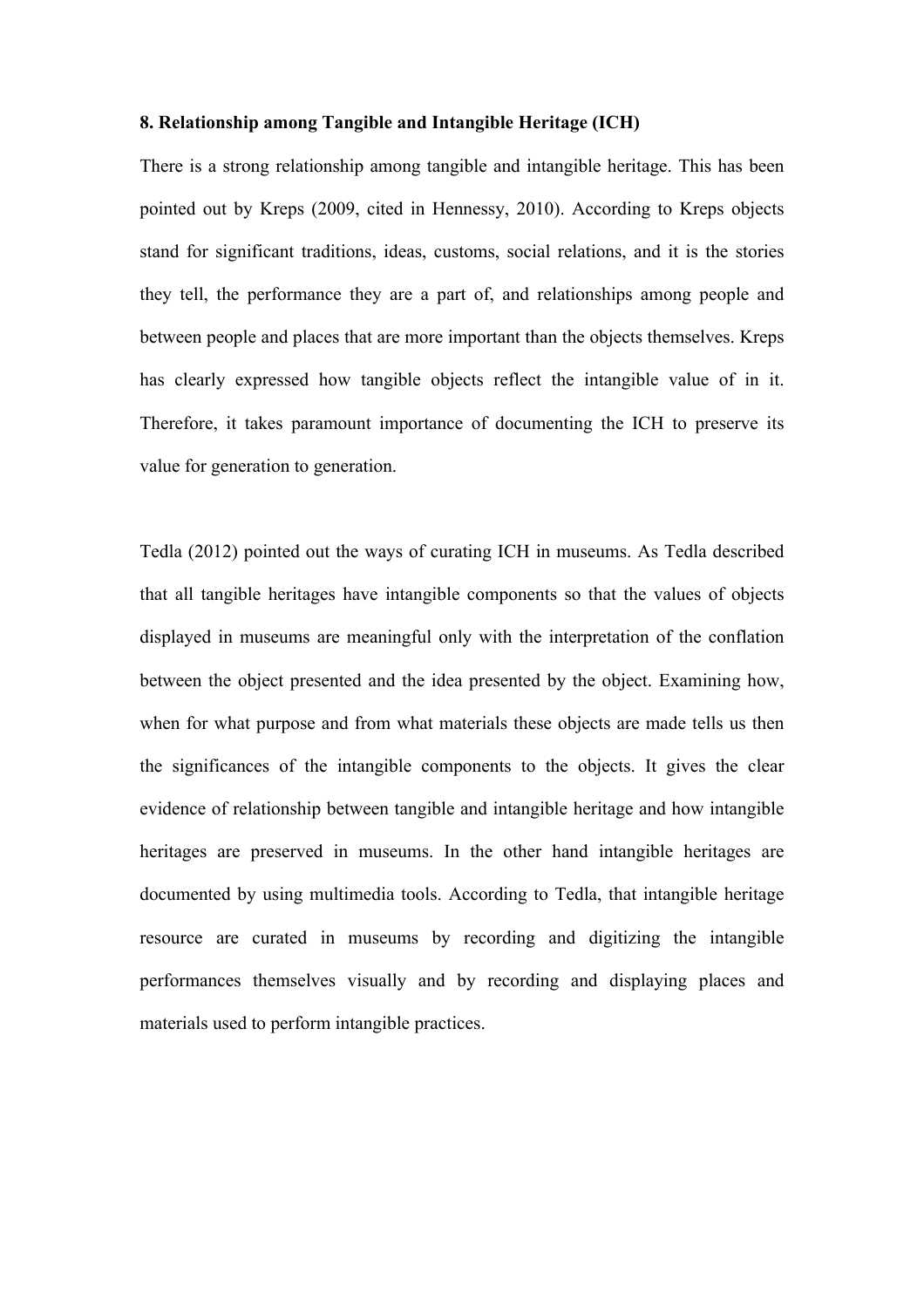#### **8. Relationship among Tangible and Intangible Heritage (ICH)**

There is a strong relationship among tangible and intangible heritage. This has been pointed out by Kreps (2009, cited in Hennessy, 2010). According to Kreps objects stand for significant traditions, ideas, customs, social relations, and it is the stories they tell, the performance they are a part of, and relationships among people and between people and places that are more important than the objects themselves. Kreps has clearly expressed how tangible objects reflect the intangible value of in it. Therefore, it takes paramount importance of documenting the ICH to preserve its value for generation to generation.

Tedla (2012) pointed out the ways of curating ICH in museums. As Tedla described that all tangible heritages have intangible components so that the values of objects displayed in museums are meaningful only with the interpretation of the conflation between the object presented and the idea presented by the object. Examining how, when for what purpose and from what materials these objects are made tells us then the significances of the intangible components to the objects. It gives the clear evidence of relationship between tangible and intangible heritage and how intangible heritages are preserved in museums. In the other hand intangible heritages are documented by using multimedia tools. According to Tedla, that intangible heritage resource are curated in museums by recording and digitizing the intangible performances themselves visually and by recording and displaying places and materials used to perform intangible practices.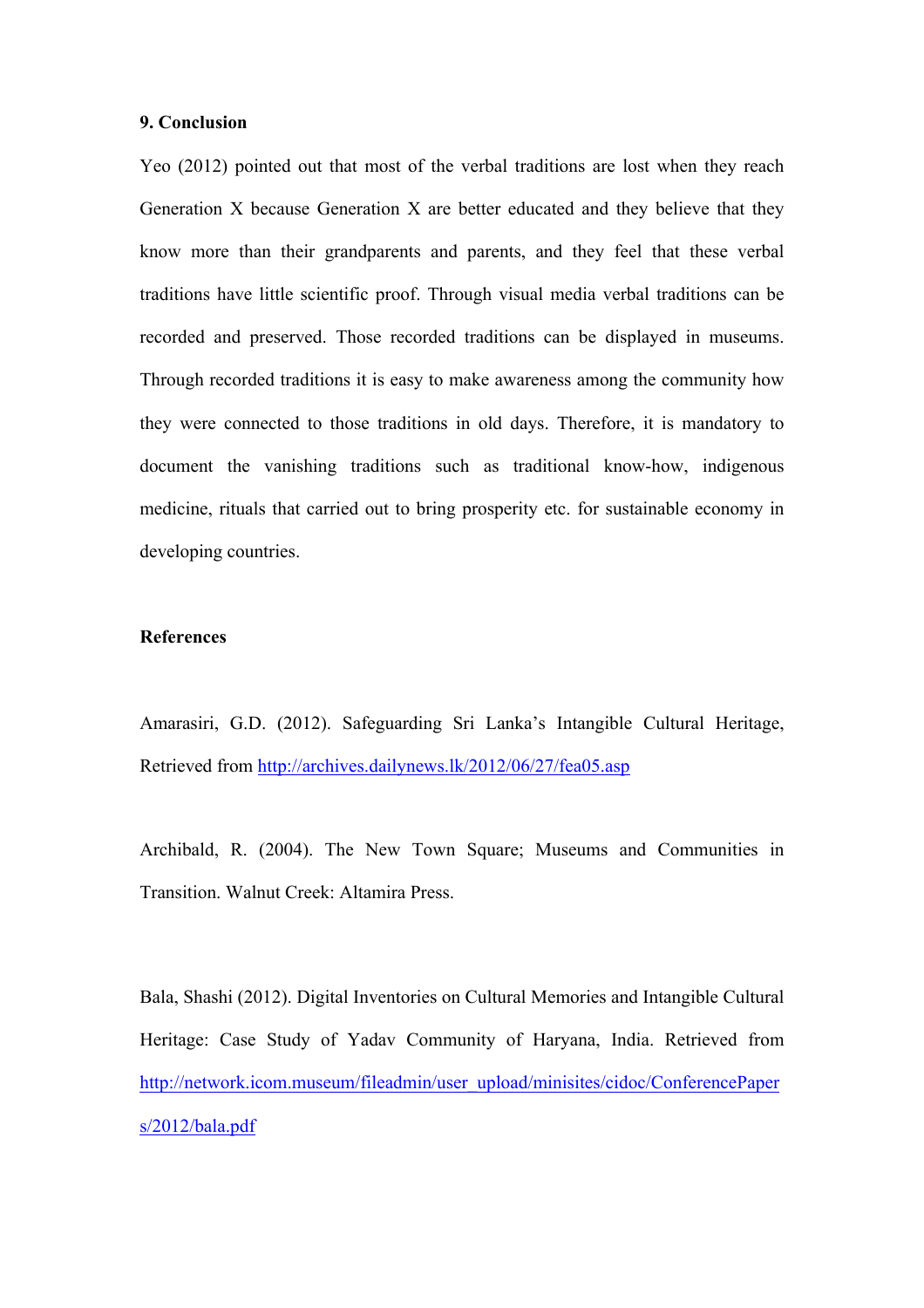#### **9. Conclusion**

Yeo (2012) pointed out that most of the verbal traditions are lost when they reach Generation X because Generation X are better educated and they believe that they know more than their grandparents and parents, and they feel that these verbal traditions have little scientific proof. Through visual media verbal traditions can be recorded and preserved. Those recorded traditions can be displayed in museums. Through recorded traditions it is easy to make awareness among the community how they were connected to those traditions in old days. Therefore, it is mandatory to document the vanishing traditions such as traditional know-how, indigenous medicine, rituals that carried out to bring prosperity etc. for sustainable economy in developing countries.

### **References**

Amarasiri, G.D. (2012). Safeguarding Sri Lanka's Intangible Cultural Heritage, Retrieved from http://archives.dailynews.lk/2012/06/27/fea05.asp

Archibald, R. (2004). The New Town Square; Museums and Communities in Transition. Walnut Creek: Altamira Press.

Bala, Shashi (2012). Digital Inventories on Cultural Memories and Intangible Cultural Heritage: Case Study of Yadav Community of Haryana, India. Retrieved from http://network.icom.museum/fileadmin/user\_upload/minisites/cidoc/ConferencePaper s/2012/bala.pdf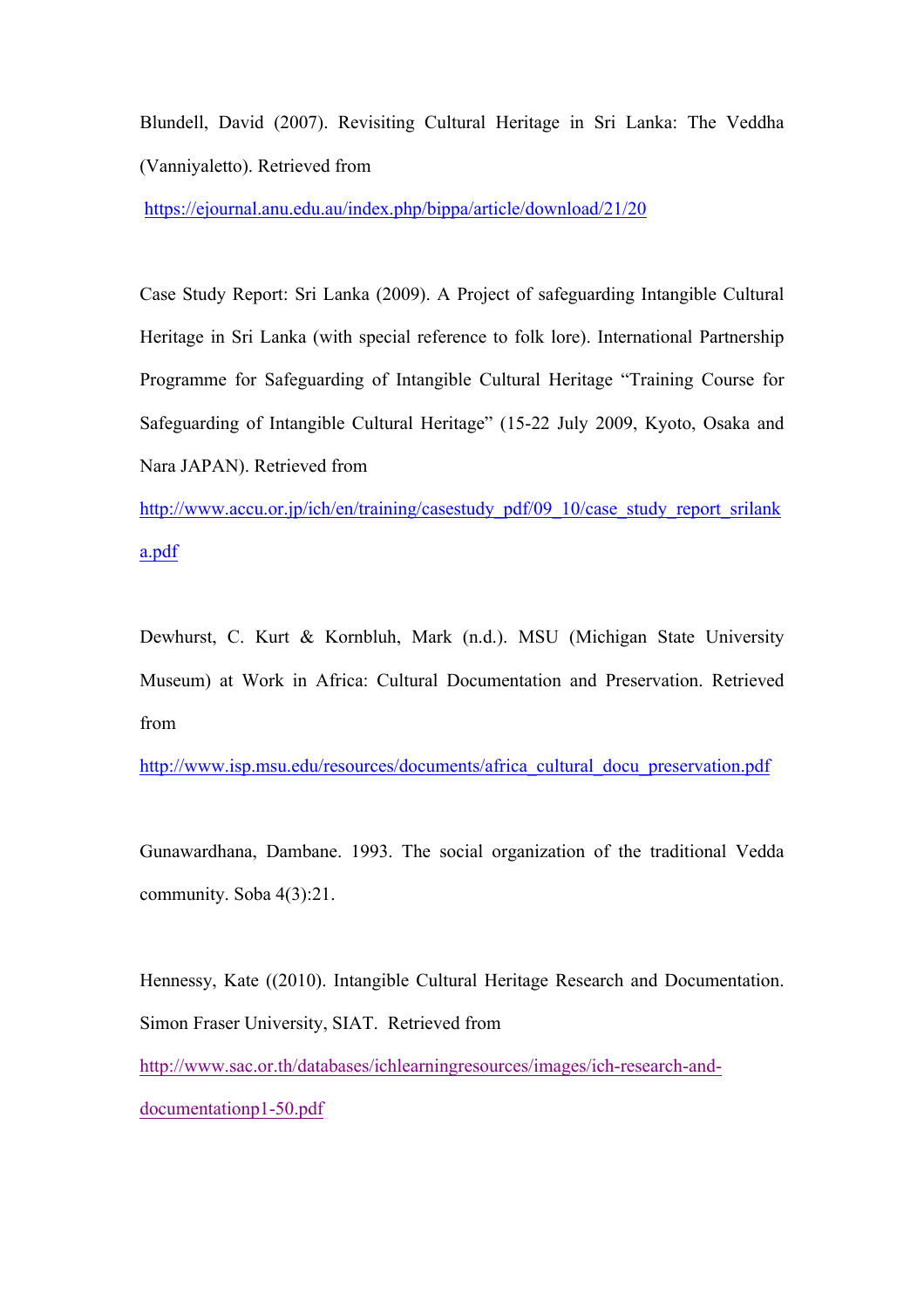Blundell, David (2007). Revisiting Cultural Heritage in Sri Lanka: The Veddha (Vanniyaletto). Retrieved from

https://ejournal.anu.edu.au/index.php/bippa/article/download/21/20

Case Study Report: Sri Lanka (2009). A Project of safeguarding Intangible Cultural Heritage in Sri Lanka (with special reference to folk lore). International Partnership Programme for Safeguarding of Intangible Cultural Heritage "Training Course for Safeguarding of Intangible Cultural Heritage" (15-22 July 2009, Kyoto, Osaka and Nara JAPAN). Retrieved from

http://www.accu.or.jp/ich/en/training/casestudy\_pdf/09\_10/case\_study\_report\_srilank a.pdf

Dewhurst, C. Kurt & Kornbluh, Mark (n.d.). MSU (Michigan State University Museum) at Work in Africa: Cultural Documentation and Preservation. Retrieved from

http://www.isp.msu.edu/resources/documents/africa\_cultural\_docu\_preservation.pdf

Gunawardhana, Dambane. 1993. The social organization of the traditional Vedda community. Soba 4(3):21.

Hennessy, Kate ((2010). Intangible Cultural Heritage Research and Documentation. Simon Fraser University, SIAT. Retrieved from

http://www.sac.or.th/databases/ichlearningresources/images/ich-research-anddocumentationp1-50.pdf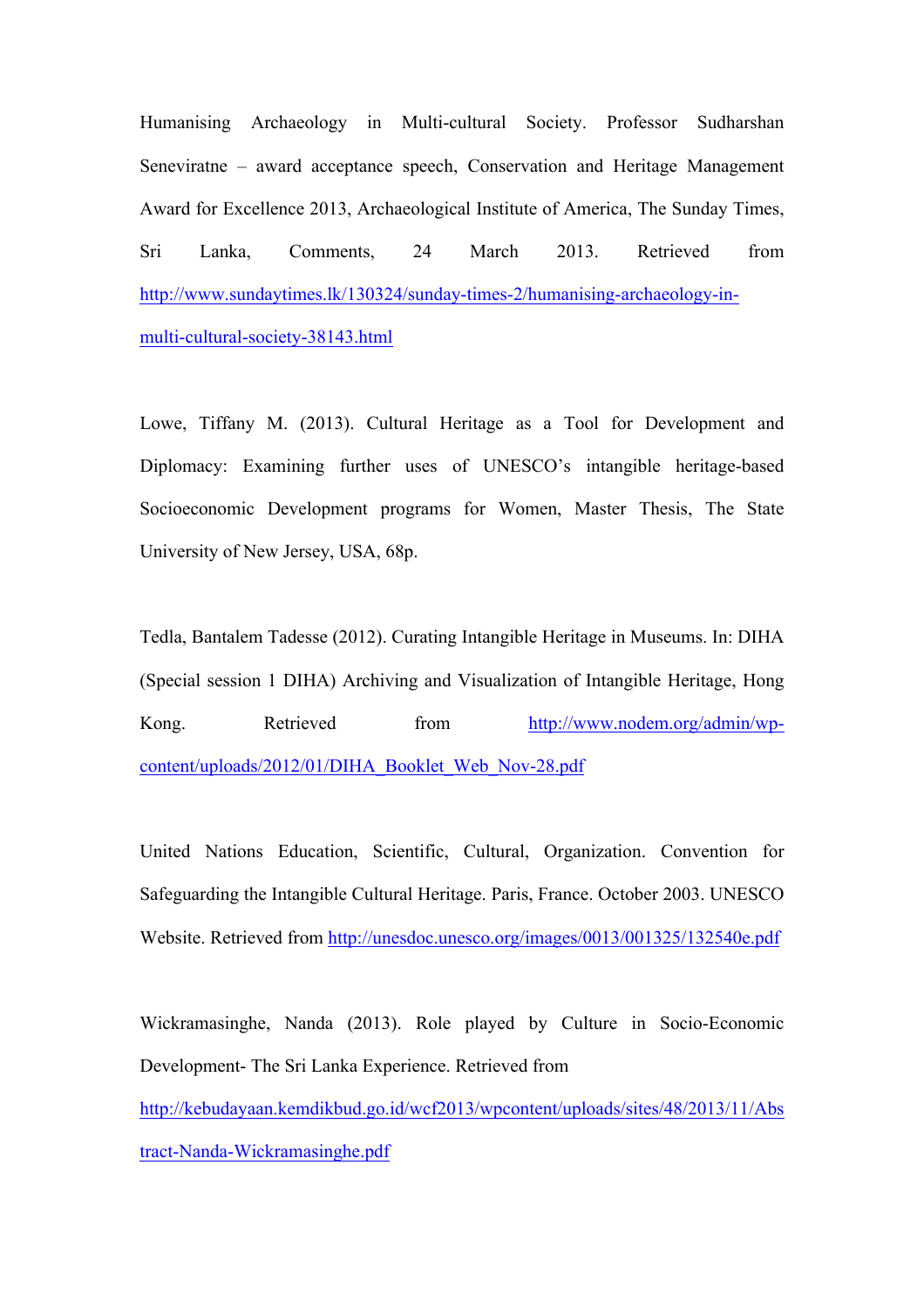Humanising Archaeology in Multi-cultural Society. Professor Sudharshan Seneviratne – award acceptance speech, Conservation and Heritage Management Award for Excellence 2013, Archaeological Institute of America, The Sunday Times, Sri Lanka, Comments, 24 March 2013. Retrieved from http://www.sundaytimes.lk/130324/sunday-times-2/humanising-archaeology-inmulti-cultural-society-38143.html

Lowe, Tiffany M. (2013). Cultural Heritage as a Tool for Development and Diplomacy: Examining further uses of UNESCO's intangible heritage-based Socioeconomic Development programs for Women, Master Thesis, The State University of New Jersey, USA, 68p.

Tedla, Bantalem Tadesse (2012). Curating Intangible Heritage in Museums. In: DIHA (Special session 1 DIHA) Archiving and Visualization of Intangible Heritage, Hong Kong. Retrieved from http://www.nodem.org/admin/wpcontent/uploads/2012/01/DIHA\_Booklet\_Web\_Nov-28.pdf

United Nations Education, Scientific, Cultural, Organization. Convention for Safeguarding the Intangible Cultural Heritage. Paris, France. October 2003. UNESCO Website. Retrieved from http://unesdoc.unesco.org/images/0013/001325/132540e.pdf

Wickramasinghe, Nanda (2013). Role played by Culture in Socio-Economic Development- The Sri Lanka Experience. Retrieved from

http://kebudayaan.kemdikbud.go.id/wcf2013/wpcontent/uploads/sites/48/2013/11/Abs tract-Nanda-Wickramasinghe.pdf